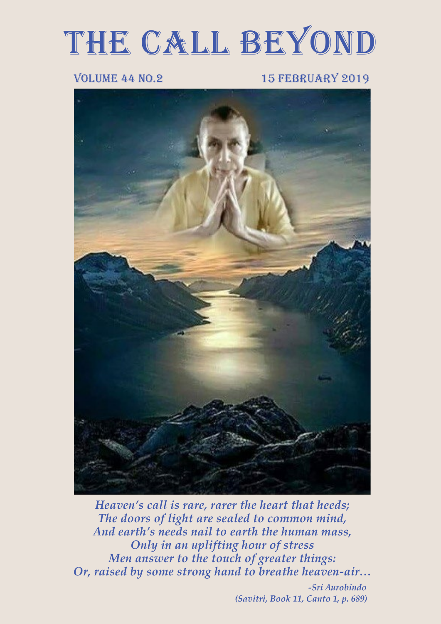# THE CALL BEYOND

#### VOLUME 44 NO.2 15 FEBRUARY 2019



*Heaven's call is rare, rarer the heart that heeds; The doors of light are sealed to common mind, And earth's needs nail to earth the human mass, Only in an uplifting hour of stress Men answer to the touch of greater things: Or, raised by some strong hand to breathe heaven-air… -Sri Aurobindo*

*(Savitri, Book 11, Canto 1, p. 689)*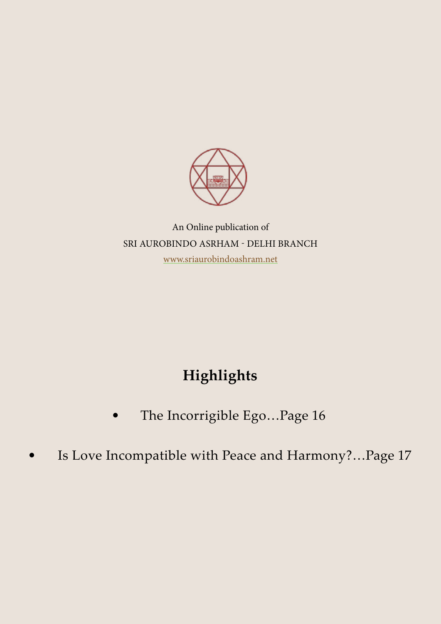

#### An Online publication of SRI AUROBINDO ASRHAM - DELHI BRANCH [www.sriaurobindoashram.net](http://www.sriaurobindoashram.net)

## **Highlights**

- The Incorrigible Ego...Page 16
- Is Love Incompatible with Peace and Harmony?...Page 17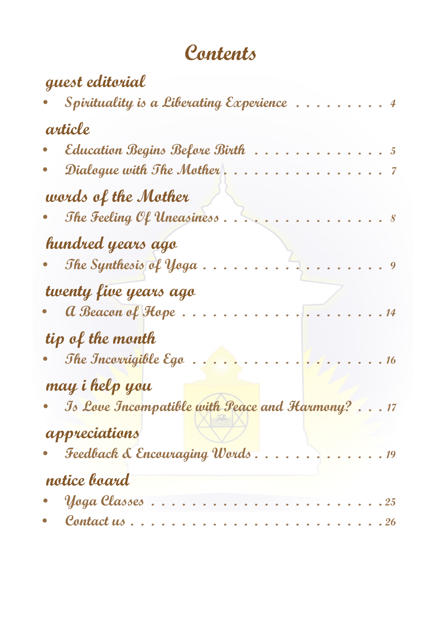## Contents

| guest editorial                                   |
|---------------------------------------------------|
| Spirituality is a Liberating Experience           |
| article                                           |
| Education Begins Before Birth                     |
| Dialogue with The Mother.                         |
| words of the Mother                               |
| The Feeling Of Uneasiness.                        |
| hundred years ago                                 |
| The Synthesis of Yoga                             |
| twenty five years ago                             |
| A Beacon of Hope                                  |
| tip of the month                                  |
| The Incorrigible Ego                              |
| may i help you                                    |
| • Jo Love Incompatible with Peace and Harmony? 17 |
| appreciations                                     |
|                                                   |
| notice board                                      |
| 25                                                |
|                                                   |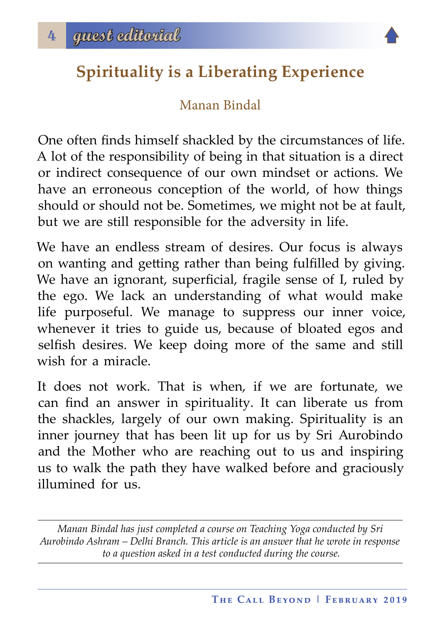

### <span id="page-3-0"></span>**Spirituality is a Liberating Experience**

#### Manan Bindal

One often finds himself shackled by the circumstances of life. A lot of the responsibility of being in that situation is a direct or indirect consequence of our own mindset or actions. We have an erroneous conception of the world, of how things should or should not be. Sometimes, we might not be at fault, but we are still responsible for the adversity in life.

We have an endless stream of desires. Our focus is always on wanting and getting rather than being fulfilled by giving. We have an ignorant, superficial, fragile sense of I, ruled by the ego. We lack an understanding of what would make life purposeful. We manage to suppress our inner voice, whenever it tries to guide us, because of bloated egos and selfish desires. We keep doing more of the same and still wish for a miracle.

It does not work. That is when, if we are fortunate, we can find an answer in spirituality. It can liberate us from the shackles, largely of our own making. Spirituality is an inner journey that has been lit up for us by Sri Aurobindo and the Mother who are reaching out to us and inspiring us to walk the path they have walked before and graciously illumined for us.

*Manan Bindal has just completed a course on Teaching Yoga conducted by Sri Aurobindo Ashram – Delhi Branch. This article is an answer that he wrote in response to a question asked in a test conducted during the course.*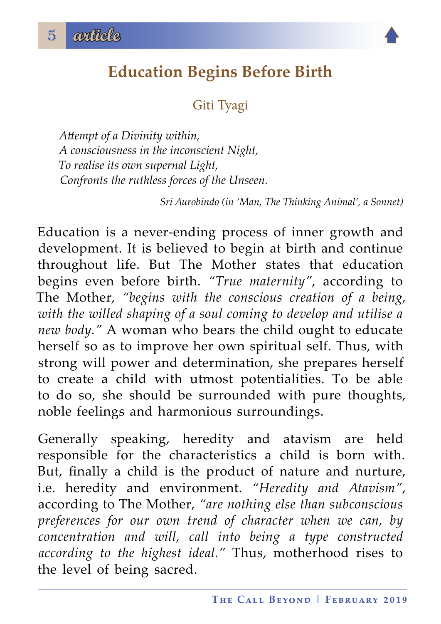

## <span id="page-4-0"></span>**Education Begins Before Birth**

#### Giti Tyagi

*Attempt of a Divinity within, A consciousness in the inconscient Night, To realise its own supernal Light, Confronts the ruthless forces of the Unseen.*

*Sri Aurobindo (in 'Man, The Thinking Animal', a Sonnet)*

Education is a never-ending process of inner growth and development. It is believed to begin at birth and continue throughout life. But The Mother states that education begins even before birth. *"True maternity"*, according to The Mother, *"begins with the conscious creation of a being, with the willed shaping of a soul coming to develop and utilise a new body."* A woman who bears the child ought to educate herself so as to improve her own spiritual self. Thus, with strong will power and determination, she prepares herself to create a child with utmost potentialities. To be able to do so, she should be surrounded with pure thoughts, noble feelings and harmonious surroundings.

Generally speaking, heredity and atavism are held responsible for the characteristics a child is born with. But, finally a child is the product of nature and nurture, i.e. heredity and environment. *"Heredity and Atavism"*, according to The Mother, *"are nothing else than subconscious preferences for our own trend of character when we can, by concentration and will, call into being a type constructed according to the highest ideal."* Thus, motherhood rises to the level of being sacred.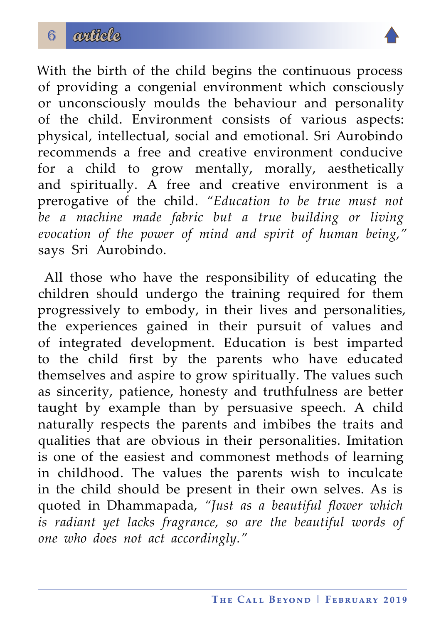

With the birth of the child begins the continuous process of providing a congenial environment which consciously or unconsciously moulds the behaviour and personality of the child. Environment consists of various aspects: physical, intellectual, social and emotional. Sri Aurobindo recommends a free and creative environment conducive for a child to grow mentally, morally, aesthetically and spiritually. A free and creative environment is a prerogative of the child. *"Education to be true must not be a machine made fabric but a true building or living evocation of the power of mind and spirit of human being,"* says Sri Aurobindo.

 All those who have the responsibility of educating the children should undergo the training required for them progressively to embody, in their lives and personalities, the experiences gained in their pursuit of values and of integrated development. Education is best imparted to the child first by the parents who have educated themselves and aspire to grow spiritually. The values such as sincerity, patience, honesty and truthfulness are better taught by example than by persuasive speech. A child naturally respects the parents and imbibes the traits and qualities that are obvious in their personalities. Imitation is one of the easiest and commonest methods of learning in childhood. The values the parents wish to inculcate in the child should be present in their own selves. As is quoted in Dhammapada, *"Just as a beautiful flower which is radiant yet lacks fragrance, so are the beautiful words of one who does not act accordingly."*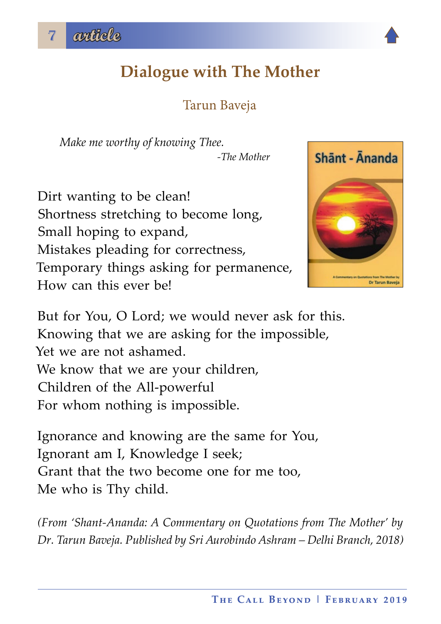## <span id="page-6-0"></span>**Dialogue with The Mother**

#### Tarun Baveja

*Make me worthy of knowing Thee. -The Mother*

Dirt wanting to be clean! Shortness stretching to become long, Small hoping to expand, Mistakes pleading for correctness, Temporary things asking for permanence, How can this ever be!



But for You, O Lord; we would never ask for this. Knowing that we are asking for the impossible, Yet we are not ashamed. We know that we are your children, Children of the All-powerful For whom nothing is impossible.

Ignorance and knowing are the same for You, Ignorant am I, Knowledge I seek; Grant that the two become one for me too, Me who is Thy child.

*(From 'Shant-Ananda: A Commentary on Quotations from The Mother' by Dr. Tarun Baveja. Published by Sri Aurobindo Ashram – Delhi Branch, 2018)*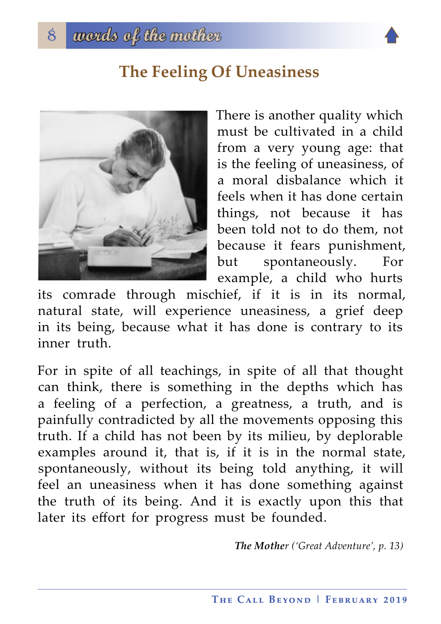

<span id="page-7-0"></span>

There is another quality which must be cultivated in a child from a very young age: that is the feeling of uneasiness, of a moral disbalance which it feels when it has done certain things, not because it has been told not to do them, not because it fears punishment, but spontaneously. For example, a child who hurts

its comrade through mischief, if it is in its normal, natural state, will experience uneasiness, a grief deep in its being, because what it has done is contrary to its inner truth.

For in spite of all teachings, in spite of all that thought can think, there is something in the depths which has a feeling of a perfection, a greatness, a truth, and is painfully contradicted by all the movements opposing this truth. If a child has not been by its milieu, by deplorable examples around it, that is, if it is in the normal state, spontaneously, without its being told anything, it will feel an uneasiness when it has done something against the truth of its being. And it is exactly upon this that later its effort for progress must be founded.

*The Mother ('Great Adventure', p. 13)*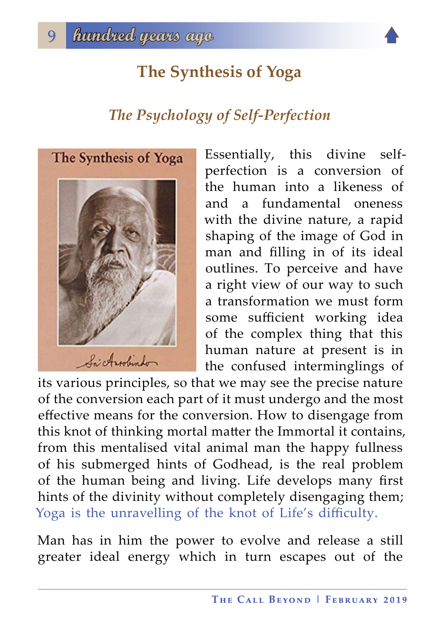

## <span id="page-8-0"></span>**The Synthesis of Yoga**

### *The Psychology of Self-Perfection*



Essentially, this divine selfperfection is a conversion of the human into a likeness of and a fundamental oneness with the divine nature, a rapid shaping of the image of God in man and filling in of its ideal outlines. To perceive and have a right view of our way to such a transformation we must form some sufficient working idea of the complex thing that this human nature at present is in the confused interminglings of

its various principles, so that we may see the precise nature of the conversion each part of it must undergo and the most effective means for the conversion. How to disengage from this knot of thinking mortal matter the Immortal it contains, from this mentalised vital animal man the happy fullness of his submerged hints of Godhead, is the real problem of the human being and living. Life develops many first hints of the divinity without completely disengaging them; Yoga is the unravelling of the knot of Life's difficulty.

Man has in him the power to evolve and release a still greater ideal energy which in turn escapes out of the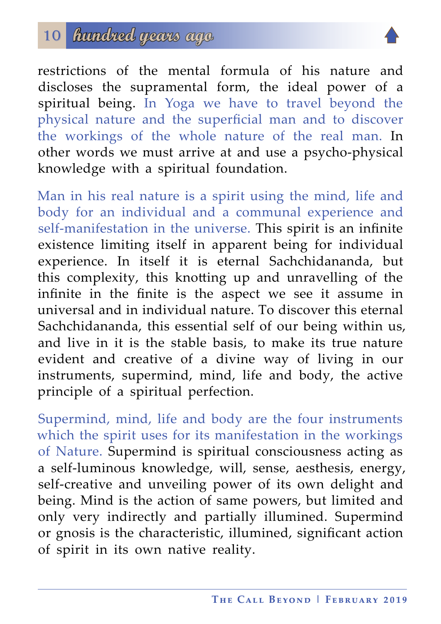

restrictions of the mental formula of his nature and discloses the supramental form, the ideal power of a spiritual being. In Yoga we have to travel beyond the physical nature and the superficial man and to discover the workings of the whole nature of the real man. In other words we must arrive at and use a psycho-physical knowledge with a spiritual foundation.

Man in his real nature is a spirit using the mind, life and body for an individual and a communal experience and self-manifestation in the universe. This spirit is an infinite existence limiting itself in apparent being for individual experience. In itself it is eternal Sachchidananda, but this complexity, this knotting up and unravelling of the infinite in the finite is the aspect we see it assume in universal and in individual nature. To discover this eternal Sachchidananda, this essential self of our being within us, and live in it is the stable basis, to make its true nature evident and creative of a divine way of living in our instruments, supermind, mind, life and body, the active principle of a spiritual perfection.

Supermind, mind, life and body are the four instruments which the spirit uses for its manifestation in the workings of Nature. Supermind is spiritual consciousness acting as a self-luminous knowledge, will, sense, aesthesis, energy, self-creative and unveiling power of its own delight and being. Mind is the action of same powers, but limited and only very indirectly and partially illumined. Supermind or gnosis is the characteristic, illumined, significant action of spirit in its own native reality.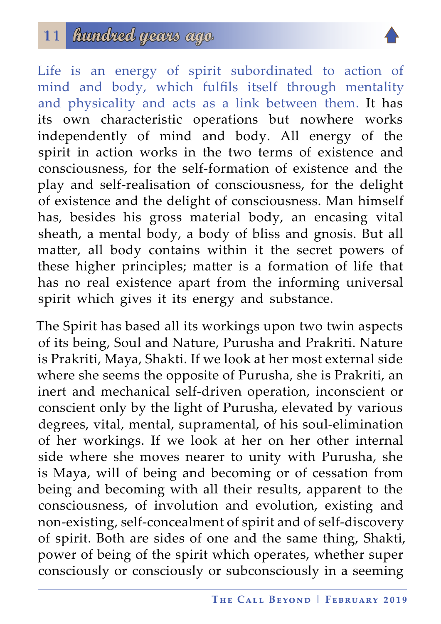

Life is an energy of spirit subordinated to action of mind and body, which fulfils itself through mentality and physicality and acts as a link between them. It has its own characteristic operations but nowhere works independently of mind and body. All energy of the spirit in action works in the two terms of existence and consciousness, for the self-formation of existence and the play and self-realisation of consciousness, for the delight of existence and the delight of consciousness. Man himself has, besides his gross material body, an encasing vital sheath, a mental body, a body of bliss and gnosis. But all matter, all body contains within it the secret powers of these higher principles; matter is a formation of life that has no real existence apart from the informing universal spirit which gives it its energy and substance.

The Spirit has based all its workings upon two twin aspects of its being, Soul and Nature, Purusha and Prakriti. Nature is Prakriti, Maya, Shakti. If we look at her most external side where she seems the opposite of Purusha, she is Prakriti, an inert and mechanical self-driven operation, inconscient or conscient only by the light of Purusha, elevated by various degrees, vital, mental, supramental, of his soul-elimination of her workings. If we look at her on her other internal side where she moves nearer to unity with Purusha, she is Maya, will of being and becoming or of cessation from being and becoming with all their results, apparent to the consciousness, of involution and evolution, existing and non-existing, self-concealment of spirit and of self-discovery of spirit. Both are sides of one and the same thing, Shakti, power of being of the spirit which operates, whether super consciously or consciously or subconsciously in a seeming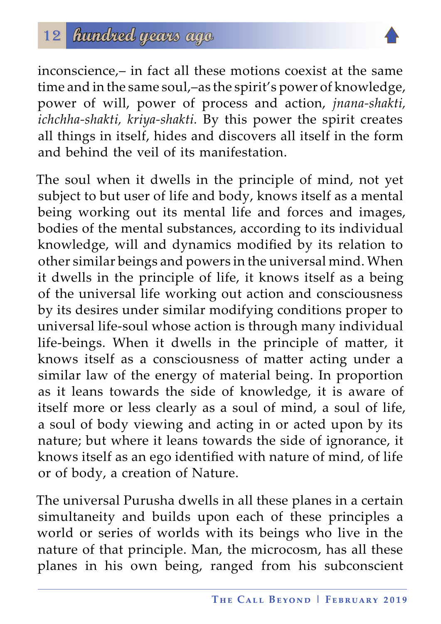

inconscience,– in fact all these motions coexist at the same time and in the same soul,–as the spirit's power of knowledge, power of will, power of process and action, *jnana-shakti, ichchha-shakti, kriya-shakti.* By this power the spirit creates all things in itself, hides and discovers all itself in the form and behind the veil of its manifestation.

The soul when it dwells in the principle of mind, not yet subject to but user of life and body, knows itself as a mental being working out its mental life and forces and images, bodies of the mental substances, according to its individual knowledge, will and dynamics modified by its relation to other similar beings and powers in the universal mind. When it dwells in the principle of life, it knows itself as a being of the universal life working out action and consciousness by its desires under similar modifying conditions proper to universal life-soul whose action is through many individual life-beings. When it dwells in the principle of matter, it knows itself as a consciousness of matter acting under a similar law of the energy of material being. In proportion as it leans towards the side of knowledge, it is aware of itself more or less clearly as a soul of mind, a soul of life, a soul of body viewing and acting in or acted upon by its nature; but where it leans towards the side of ignorance, it knows itself as an ego identified with nature of mind, of life or of body, a creation of Nature.

The universal Purusha dwells in all these planes in a certain simultaneity and builds upon each of these principles a world or series of worlds with its beings who live in the nature of that principle. Man, the microcosm, has all these planes in his own being, ranged from his subconscient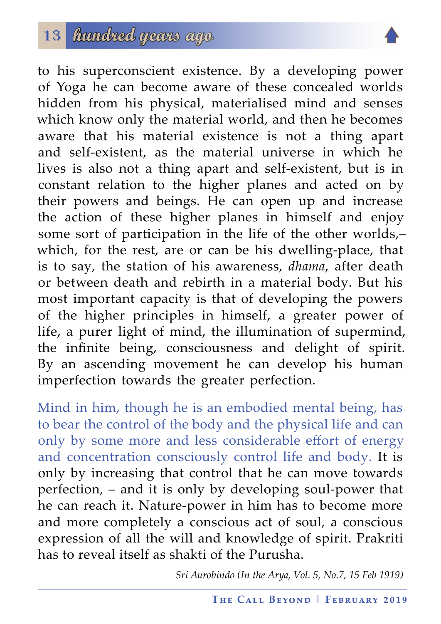

to his superconscient existence. By a developing power of Yoga he can become aware of these concealed worlds hidden from his physical, materialised mind and senses which know only the material world, and then he becomes aware that his material existence is not a thing apart and self-existent, as the material universe in which he lives is also not a thing apart and self-existent, but is in constant relation to the higher planes and acted on by their powers and beings. He can open up and increase the action of these higher planes in himself and enjoy some sort of participation in the life of the other worlds,– which, for the rest, are or can be his dwelling-place, that is to say, the station of his awareness, *dhama*, after death or between death and rebirth in a material body. But his most important capacity is that of developing the powers of the higher principles in himself, a greater power of life, a purer light of mind, the illumination of supermind, the infinite being, consciousness and delight of spirit. By an ascending movement he can develop his human imperfection towards the greater perfection.

Mind in him, though he is an embodied mental being, has to bear the control of the body and the physical life and can only by some more and less considerable effort of energy and concentration consciously control life and body. It is only by increasing that control that he can move towards perfection, – and it is only by developing soul-power that he can reach it. Nature-power in him has to become more and more completely a conscious act of soul, a conscious expression of all the will and knowledge of spirit. Prakriti has to reveal itself as shakti of the Purusha.

*Sri Aurobindo (In the Arya, Vol. 5, No.7, 15 Feb 1919)*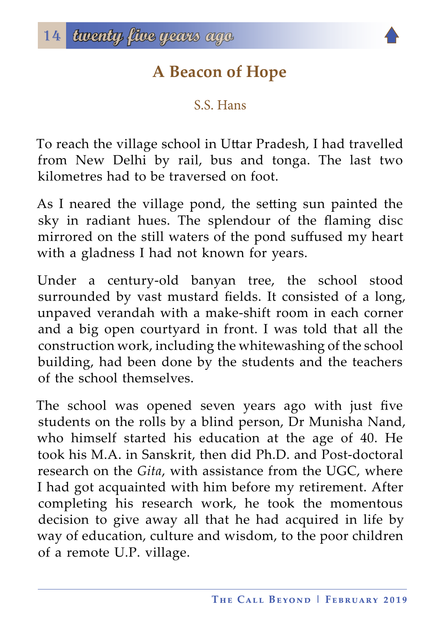## **A Beacon of Hope**

#### S.S. Hans

<span id="page-13-0"></span>To reach the village school in Uttar Pradesh, I had travelled from New Delhi by rail, bus and tonga. The last two kilometres had to be traversed on foot.

As I neared the village pond, the setting sun painted the sky in radiant hues. The splendour of the flaming disc mirrored on the still waters of the pond suffused my heart with a gladness I had not known for years.

Under a century-old banyan tree, the school stood surrounded by vast mustard fields. It consisted of a long, unpaved verandah with a make-shift room in each corner and a big open courtyard in front. I was told that all the construction work, including the whitewashing of the school building, had been done by the students and the teachers of the school themselves.

The school was opened seven years ago with just five students on the rolls by a blind person, Dr Munisha Nand, who himself started his education at the age of 40. He took his M.A. in Sanskrit, then did Ph.D. and Post-doctoral research on the *Gita*, with assistance from the UGC, where I had got acquainted with him before my retirement. After completing his research work, he took the momentous decision to give away all that he had acquired in life by way of education, culture and wisdom, to the poor children of a remote U.P. village.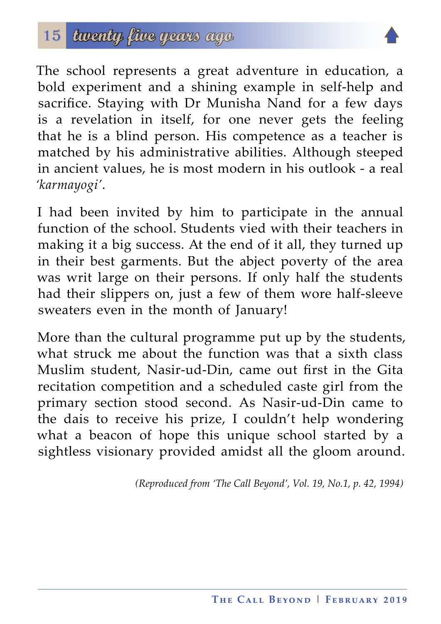## 15 **twenty five years ago**



The school represents a great adventure in education, a bold experiment and a shining example in self-help and sacrifice. Staying with Dr Munisha Nand for a few days is a revelation in itself, for one never gets the feeling that he is a blind person. His competence as a teacher is matched by his administrative abilities. Although steeped in ancient values, he is most modern in his outlook - a real *'karmayogi'*.

I had been invited by him to participate in the annual function of the school. Students vied with their teachers in making it a big success. At the end of it all, they turned up in their best garments. But the abject poverty of the area was writ large on their persons. If only half the students had their slippers on, just a few of them wore half-sleeve sweaters even in the month of January!

More than the cultural programme put up by the students, what struck me about the function was that a sixth class Muslim student, Nasir-ud-Din, came out first in the Gita recitation competition and a scheduled caste girl from the primary section stood second. As Nasir-ud-Din came to the dais to receive his prize, I couldn't help wondering what a beacon of hope this unique school started by a sightless visionary provided amidst all the gloom around.

*(Reproduced from 'The Call Beyond', Vol. 19, No.1, p. 42, 1994)*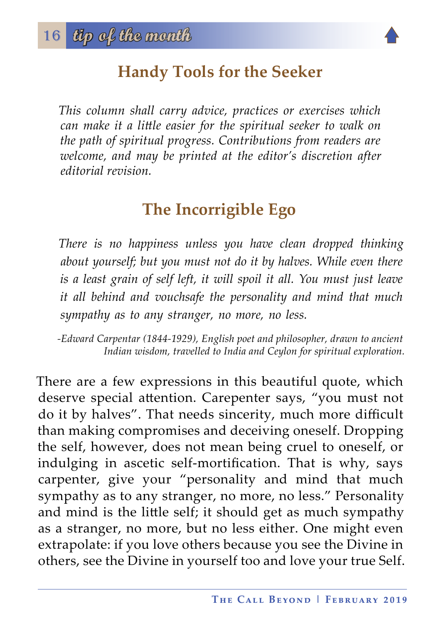

#### **Handy Tools for the Seeker**

<span id="page-15-0"></span>*This column shall carry advice, practices or exercises which can make it a little easier for the spiritual seeker to walk on the path of spiritual progress. Contributions from readers are welcome, and may be printed at the editor's discretion after editorial revision.*

## **The Incorrigible Ego**

*There is no happiness unless you have clean dropped thinking about yourself; but you must not do it by halves. While even there is a least grain of self left, it will spoil it all. You must just leave it all behind and vouchsafe the personality and mind that much sympathy as to any stranger, no more, no less.* 

*-Edward Carpentar (1844-1929), English poet and philosopher, drawn to ancient Indian wisdom, travelled to India and Ceylon for spiritual exploration.* 

There are a few expressions in this beautiful quote, which deserve special attention. Carepenter says, "you must not do it by halves". That needs sincerity, much more difficult than making compromises and deceiving oneself. Dropping the self, however, does not mean being cruel to oneself, or indulging in ascetic self-mortification. That is why, says carpenter, give your "personality and mind that much sympathy as to any stranger, no more, no less." Personality and mind is the little self; it should get as much sympathy as a stranger, no more, but no less either. One might even extrapolate: if you love others because you see the Divine in others, see the Divine in yourself too and love your true Self.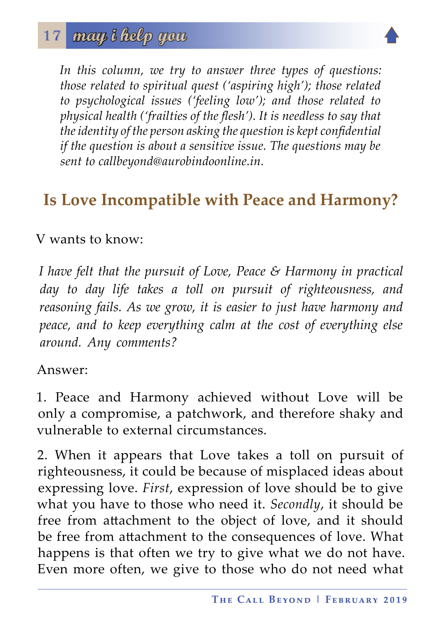## <span id="page-16-0"></span>17 **may i help you**



*In this column, we try to answer three types of questions: those related to spiritual quest ('aspiring high'); those related to psychological issues ('feeling low'); and those related to physical health ('frailties of the flesh'). It is needless to say that the identity of the person asking the question is kept confidential if the question is about a sensitive issue. The questions may be sent to callbeyond@aurobindoonline.in.*

## **Is Love Incompatible with Peace and Harmony?**

#### V wants to know:

*I have felt that the pursuit of Love, Peace & Harmony in practical day to day life takes a toll on pursuit of righteousness, and reasoning fails. As we grow, it is easier to just have harmony and peace, and to keep everything calm at the cost of everything else around. Any comments?*

Answer:

1. Peace and Harmony achieved without Love will be only a compromise, a patchwork, and therefore shaky and vulnerable to external circumstances.

2. When it appears that Love takes a toll on pursuit of righteousness, it could be because of misplaced ideas about expressing love. *First*, expression of love should be to give what you have to those who need it. *Secondly*, it should be free from attachment to the object of love, and it should be free from attachment to the consequences of love. What happens is that often we try to give what we do not have. Even more often, we give to those who do not need what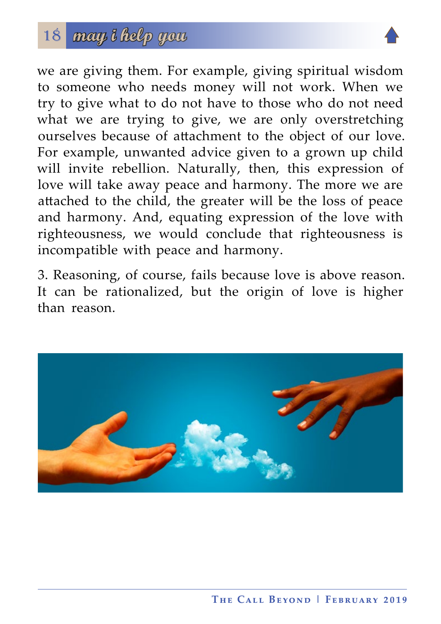## 18 **may i help you**



we are giving them. For example, giving spiritual wisdom to someone who needs money will not work. When we try to give what to do not have to those who do not need what we are trying to give, we are only overstretching ourselves because of attachment to the object of our love. For example, unwanted advice given to a grown up child will invite rebellion. Naturally, then, this expression of love will take away peace and harmony. The more we are attached to the child, the greater will be the loss of peace and harmony. And, equating expression of the love with righteousness, we would conclude that righteousness is incompatible with peace and harmony.

3. Reasoning, of course, fails because love is above reason. It can be rationalized, but the origin of love is higher than reason.

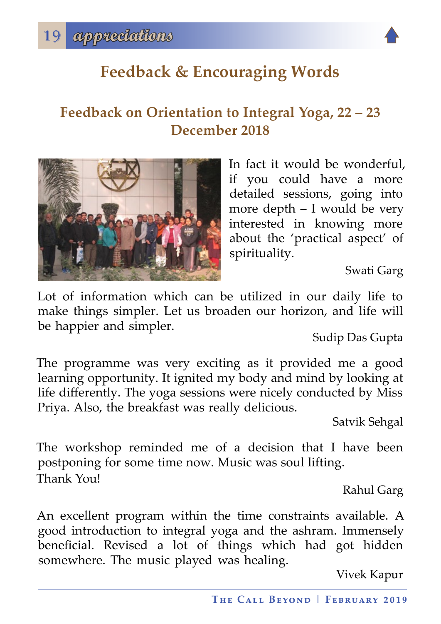

## <span id="page-18-0"></span>**Feedback & Encouraging Words**

#### **Feedback on Orientation to Integral Yoga, 22 – 23 December 2018**



In fact it would be wonderful, if you could have a more detailed sessions, going into more depth – I would be very interested in knowing more about the 'practical aspect' of spirituality.

Swati Garg

Lot of information which can be utilized in our daily life to make things simpler. Let us broaden our horizon, and life will be happier and simpler.<br>Sudip Das Gupta

The programme was very exciting as it provided me a good learning opportunity. It ignited my body and mind by looking at life differently. The yoga sessions were nicely conducted by Miss Priya. Also, the breakfast was really delicious.

Satvik Sehgal

The workshop reminded me of a decision that I have been postponing for some time now. Music was soul lifting. Thank You!

Rahul Garg

An excellent program within the time constraints available. A good introduction to integral yoga and the ashram. Immensely beneficial. Revised a lot of things which had got hidden somewhere. The music played was healing.

Vivek Kapur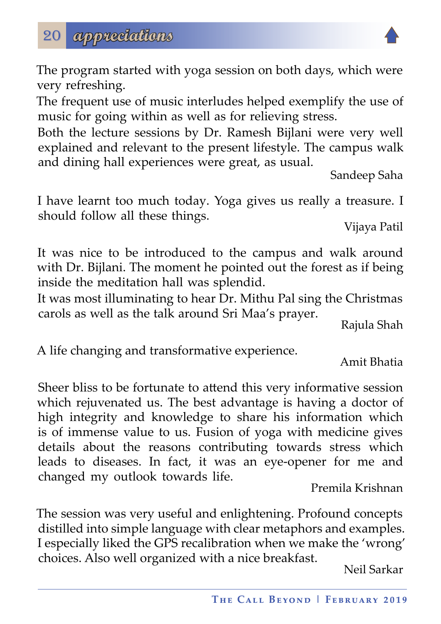The program started with yoga session on both days, which were very refreshing.

The frequent use of music interludes helped exemplify the use of music for going within as well as for relieving stress.

Both the lecture sessions by Dr. Ramesh Bijlani were very well explained and relevant to the present lifestyle. The campus walk and dining hall experiences were great, as usual. Sandeep Saha

I have learnt too much today. Yoga gives us really a treasure. I should follow all these things.<br>
Vijaya Patil

It was nice to be introduced to the campus and walk around with Dr. Bijlani. The moment he pointed out the forest as if being inside the meditation hall was splendid.

It was most illuminating to hear Dr. Mithu Pal sing the Christmas carols as well as the talk around Sri Maa's prayer.<br>Rajula Shah

A life changing and transformative experience. Amit Bhatia

Sheer bliss to be fortunate to attend this very informative session which rejuvenated us. The best advantage is having a doctor of high integrity and knowledge to share his information which is of immense value to us. Fusion of yoga with medicine gives details about the reasons contributing towards stress which leads to diseases. In fact, it was an eye-opener for me and changed my outlook towards life.<br>
Premila Krishnan

The session was very useful and enlightening. Profound concepts distilled into simple language with clear metaphors and examples. I especially liked the GPS recalibration when we make the 'wrong' choices. Also well organized with a nice breakfast. Neil Sarkar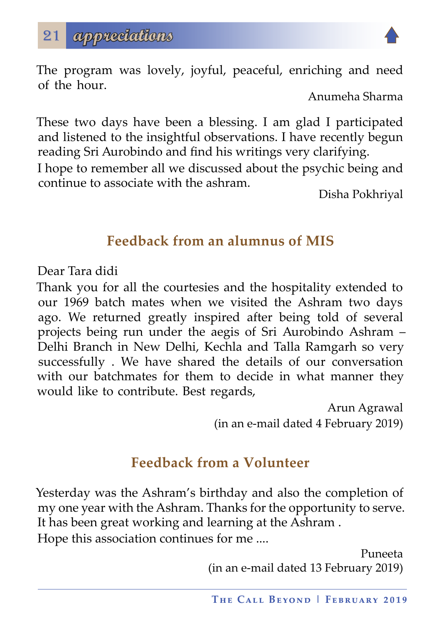## 21 **appreciations**



The program was lovely, joyful, peaceful, enriching and need of the hour.

Anumeha Sharma

These two days have been a blessing. I am glad I participated and listened to the insightful observations. I have recently begun reading Sri Aurobindo and find his writings very clarifying. I hope to remember all we discussed about the psychic being and

continue to associate with the ashram.

Disha Pokhriyal

#### **Feedback from an alumnus of MIS**

Dear Tara didi

Thank you for all the courtesies and the hospitality extended to our 1969 batch mates when we visited the Ashram two days ago. We returned greatly inspired after being told of several projects being run under the aegis of Sri Aurobindo Ashram – Delhi Branch in New Delhi, Kechla and Talla Ramgarh so very successfully . We have shared the details of our conversation with our batchmates for them to decide in what manner they would like to contribute. Best regards,

> Arun Agrawal (in an e-mail dated 4 February 2019)

#### **Feedback from a Volunteer**

Yesterday was the Ashram's birthday and also the completion of my one year with the Ashram. Thanks for the opportunity to serve. It has been great working and learning at the Ashram . Hope this association continues for me ....

> Puneeta (in an e-mail dated 13 February 2019)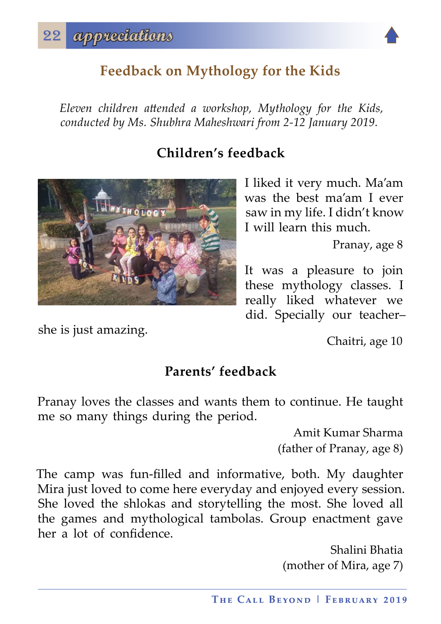

#### **Feedback on Mythology for the Kids**

*Eleven children attended a workshop, Mythology for the Kids, conducted by Ms. Shubhra Maheshwari from 2-12 January 2019.*

#### **Children's feedback**



I liked it very much. Ma'am was the best ma'am I ever saw in my life. I didn't know I will learn this much.

Pranay, age 8

It was a pleasure to join these mythology classes. I really liked whatever we did. Specially our teacher–

she is just amazing. Chaitri, age 10

#### **Parents' feedback**

Pranay loves the classes and wants them to continue. He taught me so many things during the period.

> Amit Kumar Sharma (father of Pranay, age 8)

The camp was fun-filled and informative, both. My daughter Mira just loved to come here everyday and enjoyed every session. She loved the shlokas and storytelling the most. She loved all the games and mythological tambolas. Group enactment gave her a lot of confidence.

> Shalini Bhatia (mother of Mira, age 7)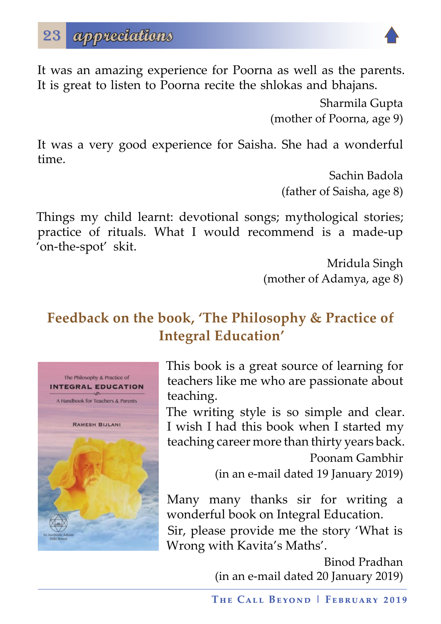## 23 **appreciations**



It was an amazing experience for Poorna as well as the parents. It is great to listen to Poorna recite the shlokas and bhajans.

> Sharmila Gupta (mother of Poorna, age 9)

It was a very good experience for Saisha. She had a wonderful time.

> Sachin Badola (father of Saisha, age 8)

Things my child learnt: devotional songs; mythological stories; practice of rituals. What I would recommend is a made-up 'on-the-spot' skit.

> Mridula Singh (mother of Adamya, age 8)

#### **Feedback on the book, 'The Philosophy & Practice of Integral Education'**



This book is a great source of learning for teachers like me who are passionate about teaching.

The writing style is so simple and clear. I wish I had this book when I started my teaching career more than thirty years back.

Poonam Gambhir

(in an e-mail dated 19 January 2019)

Many many thanks sir for writing a wonderful book on Integral Education.

Sir, please provide me the story 'What is Wrong with Kavita's Maths'.

> Binod Pradhan (in an e-mail dated 20 January 2019)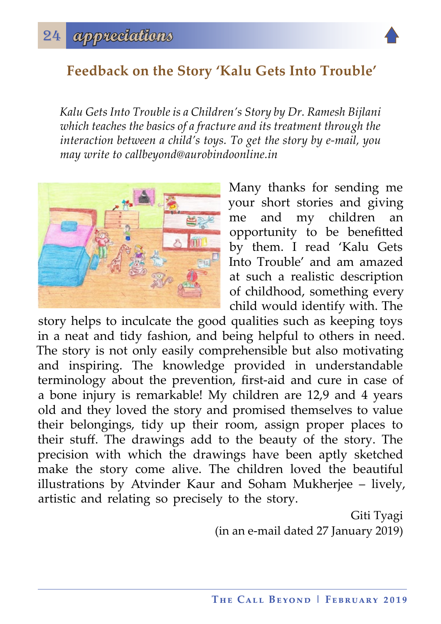

#### **Feedback on the Story 'Kalu Gets Into Trouble'**

*Kalu Gets Into Trouble is a Children's Story by Dr. Ramesh Bijlani which teaches the basics of a fracture and its treatment through the interaction between a child's toys. To get the story by e-mail, you may write to callbeyond@aurobindoonline.in*



Many thanks for sending me your short stories and giving me and my children an opportunity to be benefitted by them. I read 'Kalu Gets Into Trouble' and am amazed at such a realistic description of childhood, something every child would identify with. The

story helps to inculcate the good qualities such as keeping toys in a neat and tidy fashion, and being helpful to others in need. The story is not only easily comprehensible but also motivating and inspiring. The knowledge provided in understandable terminology about the prevention, first-aid and cure in case of a bone injury is remarkable! My children are 12,9 and 4 years old and they loved the story and promised themselves to value their belongings, tidy up their room, assign proper places to their stuff. The drawings add to the beauty of the story. The precision with which the drawings have been aptly sketched make the story come alive. The children loved the beautiful illustrations by Atvinder Kaur and Soham Mukherjee – lively, artistic and relating so precisely to the story.

Giti Tyagi

(in an e-mail dated 27 January 2019)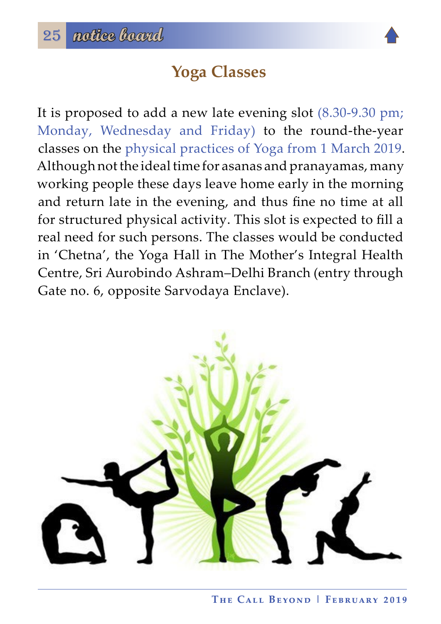

## **Yoga Classes**

<span id="page-24-0"></span>It is proposed to add a new late evening slot (8.30-9.30 pm; Monday, Wednesday and Friday) to the round-the-year classes on the physical practices of Yoga from 1 March 2019. Although not the ideal time for asanas and pranayamas, many working people these days leave home early in the morning and return late in the evening, and thus fine no time at all for structured physical activity. This slot is expected to fill a real need for such persons. The classes would be conducted in 'Chetna', the Yoga Hall in The Mother's Integral Health Centre, Sri Aurobindo Ashram–Delhi Branch (entry through Gate no. 6, opposite Sarvodaya Enclave).